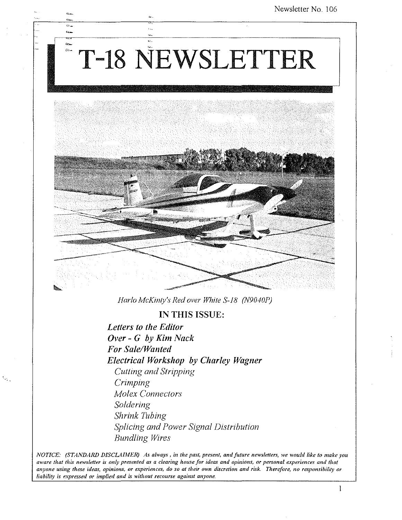# T-18 NEWSLETTER

 $P_{\rm NL}$  $\mathbf{a}$ 



*HarIa McKinly's Red over While S-18 (N9040P)* 

**IN THIS** ISSUE:

*Letters to the Editor Over* - *G by Kim Nack For Sale/Wanted Electrical Workshop by Charley Wagner CUlling and Stripping Crimping Molex Connectors Soldering Shrink Tubing Splicing and Power Signal Distribution Bundling Wires* 

*NOTICE: (STANDA1W DISCLAIJIER) As always, in tlte past, present, and future news/etters, we would like to make you aware thaI* **tho'** *newsletter* **U'** *only presented as a clearing house for idea.s and opinions, or personal experiences and that anyone using these ideas, opinions, or experiences, do so at their own discretion and risk. 11lerefore, no responsibility or liability is expressed or implied and is without recourse against anyone.* 

 $\mathbf{1}$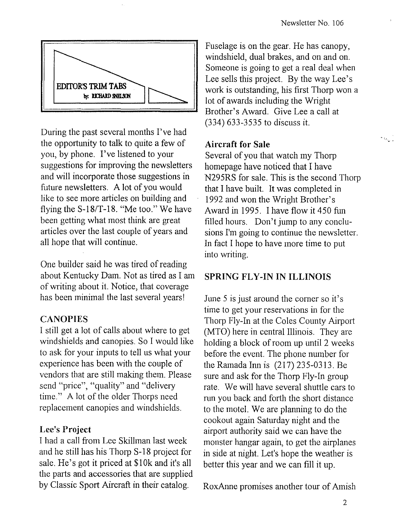$\Delta\chi_{\rm max}$ 

![](_page_1_Figure_1.jpeg)

During the past several months I've had the opportunity to talk to quite a few of you, by phone. I've listened to your suggestions for improving the newsletters and will incorporate those suggestions in future newsletters. A lot of you would like to see more articles on building and flying the *S-18/T-18.* "Me too." We have been getting what most think are great articles over the last couple of years and all hope that will continue.

One builder said he was tired of reading about Kentucky Dam. Not as tired as I am of writing about it. Notice, that coverage has been minimal the last several years!

#### **CANOPIES**

I still get a lot of calls about where to get windshields and canopies. So I would like to ask for your inputs to tell us what your experience has been with the couple of vendors that are still making them. Please send "price", "quality" and "delivery time." A lot of the older Thorps need replacement canopies and windshields.

#### Lee's Project

I had a call from Lee Skillman last week and he still has his Thorp S-18 project for sale. He's got it priced at \$10k and it's all the parts and accessories that are supplied by Classic Sport Aircraft in their catalog.

Fuselage is on the gear. He has canopy, windshield, dual brakes, and on and on. Someone is going to get a real deal when Lee sells this project. By the way Lee's work is outstanding, his first Thorp won a lot of awards including the Wright Brother's Award. Give Lee a call at (334) 633-3535 to discuss it.

### Aircraft for Sale

Several of you that watch my Thorp homepage have noticed that I have N295RS for sale. This is the second Thorp that I have built. It was completed in 1992 and won the Wright Brother's Award in 1995. I have flow it 450 fun filled hours. Don't jump to any conclusions I'm going to continue the newsletter. In fact I hope to have more time to put into writing.

#### SPRING FLY-IN IN ILLINOIS

June 5 is just around the corner so it's time to get your reservations in for the Thorp Fly-In at the Coles County Airport (MTO) here in central Illinois. They are holding a block of room up until 2 weeks before the event. The phone number for the Ramada Inn is (217) 235-0313. Be sure and ask for the Thorp Fly-In group rate. We will have several shuttle cars to mn you back and forth the short distance to the motel. We are planning to do the cookout again Saturday night and the airport authority said we can have the monster hangar again, to get the airplanes in side at night. Let's hope the weather is better this year and we can fill it up.

RoxAnne promises another tour of Amish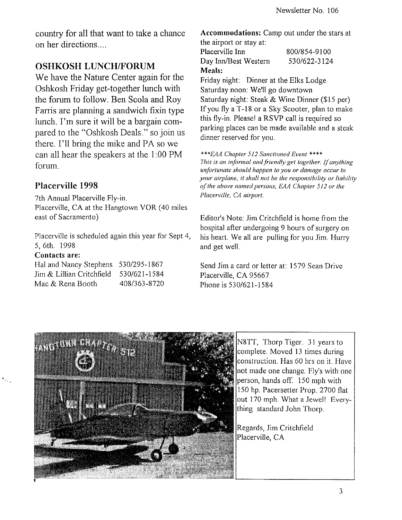country for all that want to take a chance on her directions ....

# **OSHKOSH LUNCH/FORUM**

We have the Nature Center again for the Oshkosh Friday get-together lunch with the forum to follow. Ben Scola and Roy Farris are planning a sandwich fixin type lunch. I'm sure it will be a bargain compared to the "Oshkosh Deals." so join us there. I'll bring the mike and PA so we can all hear the speakers at the I :00 PM forum.

#### **Placerville 1998**

7th Annual Placerville Fly-in. Placerville, CA at the Hangtown YOR (40 miles east of Sacramento)

Placerville is scheduled again this year for Sept 4, 5, 6th. 1998

#### Contacts are:

| Hal and Nancy Stephens 530/295-1867 |              |
|-------------------------------------|--------------|
| Jim & Lillian Critchfield           | 530/621-1584 |
| Mac & Rena Booth                    | 408/363-8720 |

Accommodations: Camp out under the stars at the airport or stay at:

Placerville Inn Day Inn/Best Western Meals: 800/854-9100 530/622-3124

Friday night: Dinner at the Elks Lodge Saturday noon: We'll go downtown Saturday night: Steak & Wine Dinner (\$15 per) If you fly a T-18 or a Sky Scooter, plan to make this fly-in. Pleasel a RSVP call is required so parking places can be made available and a steak dinner reserved for you.

*\*\*\*E4A Chapter* **512** *Sanctioned Event* **\*\*\*\***  *This is an informal and friendly get together. If anything unfortunate should happen to you or damage occur to your airplane, it shall not be the responsibility or liability of the above named persons. EAA Chapter 512 or the Placerville, CA airport.* 

Editor's Note: Jim Critchfield is home from the hospital after undergoing 9 hours of surgery on his heart. We all are pulling for you Jim. Hurry and get well.

Send Jim a card or letter at: 1579 Sean Drive Placerville, CA 95667 Phone is 530/621-1584

![](_page_2_Picture_15.jpeg)

N8TT, Thorp Tiger. 31 years to complete. Moved 13 times during construction. Has 60 hrs on it. Have not made one change. Fly's with one person, hands off. 150 mph with 150 hp. Pacersetter Prop. 2700 flat out 170 mph. What a Jewel! Everything standard John Thorp.

Regards, Jim Critchfield Placerville, CA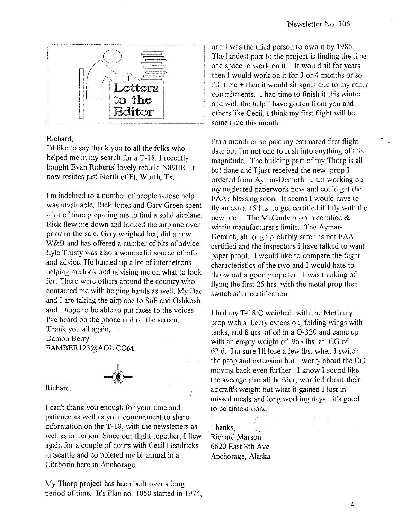$\sim 10^{-11}$ 

![](_page_3_Figure_1.jpeg)

#### Richard,

I'd like to say thank you to all the folks who helped me in my search for a T-18. I recently bought Evan Roberts' lovely rebuild N89ER. It now resides just North of Ft. Worth, Tx...

I'm indebted to a number of people whose help was invaluable. Rick Jones and Gary Green spent a lot of time preparing me to find a solid airplane. Rick flew me down and looked the airplane over prior to the sale. Gary weighed her, did a new W&B and has offered a number of bits of advice. Lyle Trusty was also a wonderful source of info and advice. He burned up a lot of internetrons helping me look and advising me on what to look for. There were others around the country who contacted me with helping hands as well. My Dad and I are taking the airplane to SnF and Oshkosh and I hope to be able to put faces to the voices I've heard on the phone and on the screen. Thank you all again,

Damon Berry FAMBERI23@AOL.COM

![](_page_3_Picture_6.jpeg)

Richard,

I can't thank you enough for your time and patience as well as your commitment to share information on the T-18, with the newsletters as well as in person. Since our flight together, I flew again for a couple of hours with Cecil Hendricks in Seattle and completed my bi-annual in a Citaboria here in Anchorage.

My Thorp project has been built over a long period of time. It's Plan no. 1050 started in 1974, and I was the third person to own it by 1986. The hardest part to the project is finding the time and space to work on it. It would sit for years then I would work on it for 3 or 4 months or so full time + then it would sit again due to my other commitments. I had time to finish it this winter and with the help I have gotten from you and others like Cecil, I think my first flight will be some time this month.

I'm a month or so past my estimated first flight date but I'm not one to rush into anything of this magnitude. The building part of my Thorp is all but done and I just received the new prop I ordered from Aymar-Demuth. I am working on my neglected paperwork now and could get the FAA's blessing soon. It seems I would have to fly an extra 15 hrs. to get certified if I fly with the new prop. The McCauly prop is certified & within manufacturer's limits. The Aymar-Demuth, although probably safer, is not FAA certified and the inspectors I have talked to want paper proof. I would like to compare the flight characteristics of the two and I would hate to throw out a good propeller. I was thinking of flying the first 25 hrs. with the metal prop then switch after certification.

I had my T-18 C weighed with the McCauly prop with a beefy extension, folding wings with tanks, and 8 qts. of oil in a 0-320 and came up with an empty weight of 963 Ibs. at CG of 62.6. I'm sure I'll lose a few Ibs. when I switch the prop and extension but I worry about the CG moving back even further. I know I sound like the average aircraft builder, worried about their aircraft's weight but what it gained I lost in missed meals and long working days. It's good to be almost done.

Thanks, Richard Marson 6620 East 8th Ave. Anchorage, Alaska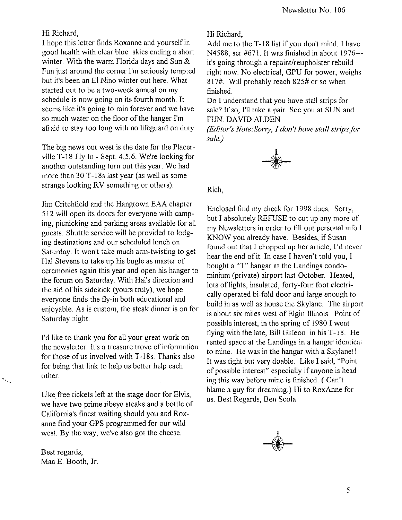#### Hi Richard,

I hope this letter finds Roxanne and yourself in good health with clear blue skies ending a short winter. With the warm Florida days and Sun & Fun just around the corner I'm seriously tempted but it's been an EI Nino winter out here. What started out to be a two-week annual on my schedule is now going on its fourth month. It seems like it's going to rain forever and we have so much water on the floor of the hanger I'm afraid to stay too long with no lifeguard on duty.

The big news out west is the date for the Placerville T-18 Fly In - Sept. 4,5,6. We're looking for another outstanding turn out this year. We had more than 30 T-18s last year (as well as some strange looking RV something or others).

Jim Critchfield and the Hangtown EAA chapter 512 will open its doors for everyone with camping, picnicking and parking areas available for all guests. Shuttle service will be provided to lodging destinations and our scheduled lunch on Saturday. It won't take much arm-twisting to get Hal Stevens to take up his bugle as master of ceremonies again this year and open his hanger to the forum on Saturday. With Hal's direction and the aid of his sidekick (yours truly), we hope everyone finds the fly-in both educational and enjoyable. As is custom, the steak dinner is on for Saturday night.

I'd like to thank you for all your great work on the newsletter. It's a treasure trove of information for those of us involved with T-18s. Thanks also for being that link to help us better help each other.

Like free tickets left at the stage door for Elvis, we have two prime ribeye steaks and a bottle of California's finest waiting should you and Roxanne find your GPS programmed for our wild west. By the way, we've also got the cheese.

Best regards, Mac E. Booth, Jr.

S.

Hi Richard,

Add me to the T-18 list if you don't mind. I have N4588, ser #671. It was finished in about 1976-- it's going through a repaint/reupholster rebuild right now. No electrical, GPU for power, weighs 817#. Will probably reach 825# or so when finished.

Do I understand that you have stall strips for sale? If so, I'll take a pair. See you at SUN and FUN. DAVID ALDEN

*(Editor's Note:Sorry,* J *don't have stall strips/or sale.)* 

![](_page_4_Picture_12.jpeg)

Rich,

Enclosed find my check for 1998 dues. Sorry, but I absolutely REFUSE to cut up any more of my Newsletters in order to fill out personal info I KNOW you already have. Besides, if Susan found out that I chopped up her article, I'd never hear the end of it. In case I haven't told you, I bought a "T" hangar at the Landings condominium (private) airport last October. Heated, lots of lights, insulated, forty-four foot electrically operated bi-fold door and large enough to build in as well as house the Skylane. The airport is about six miles west of Elgin Illinois. Point of possible interest, in the spring of 1980 I went flying with the late, Bill Gilleon in his T-18. He rented space at the Landings in a hangar identical to mine. He was in the hangar with a Skylane!! It was tight but very doable. Like I said, "Point of possible interest" especially if anyone is heading this way before mine is finished. ( Can't blame a guy for dreaming.) Hi to RoxAnne for us. Best Regards, Ben Scola

![](_page_4_Picture_15.jpeg)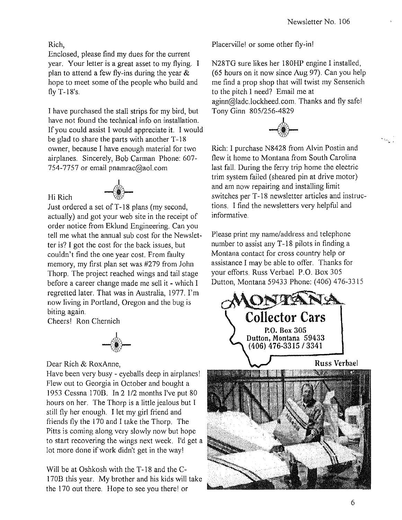#### Rich,

Hi Rich

Enclosed, please find my dues for the current year. Your letter is a great asset to my flying. I plan to attend a few fly-ins during the year  $\&$ hope to meet some of the people who build and fly T-18's.

I have purchased the stall strips for my bird, but have not found the technical info on installation. If you could assist I would appreciate it. I would be glad to share the parts with another T-18 owner, because I have enough material for two airplanes. Sincerely, Bob Carman Phone: 607- 754-7757 or email pnamrac@ao1.com

![](_page_5_Picture_4.jpeg)

Just ordered a set ofT-18 plans (my second, actually) and got your web site in the receipt of order notice from Eklund Engineering. Can you tell me what the annual sub cost for the Newsletter is? I got the cost for the back issues, but couldn't find the one year cost. From faulty memory, my first plan set was #279 from John Thorp. The project reached wings and tail stage before a career change made me sell it - which I regretted later. That was in Australia, 1977. I'm now living in Portland, Oregon and the bug is biting again.

Cheers! Ron Chernich

![](_page_5_Picture_7.jpeg)

Dear Rich & RoxAnne,

Have been very busy - eyeballs deep in airplanes! Flew out to Georgia in October and bought a 1953 Cessna 170B. In 2 112 months I've put 80 hours on her. The Thorp is a little jealous but I still fly her enough. I let my girl friend and friends fly the 170 and I take the Thorp. The Pitts is coming along very slowly now but hope to start recovering the wings next week. I'd get a lot more done if work didn't get in the wayl

Will be at Oshkosh with the T-18 and the C-170B this year. My brother and his kids will take the 170 out there. Hope to see you there! or

Placerville! or some other fly-in!

N28TG sure likes her 180HP engine I installed, (65 hours on it now since Aug 97). Can you help me find a prop shop that will twist my Sensenich to the pitch I need? Email me at aginn@ladc.lockheed.com. Thanks and fly safe! Tony Ginn *8051256-4829* 

![](_page_5_Picture_13.jpeg)

Rich: I purchase N8428 from Alvin Postin and flew it home to Montana from South Carolina last fall. During the ferry trip home the electric trim system failed (sheared pin at drive motor) and am now repairing and installing limit switches per T-18 newsletter articles and instructions. I find the newsletters very helpful and informative.

Please print my name/address and telephone number to assist any T -18 pilots in finding a Montana contact for cross country help or assistance I may be able to offer. Thanks for your efforts. Russ Verbael P.O. Box 305 Dutton, Montana 59433 Phone: (406) 476-3315

![](_page_5_Picture_16.jpeg)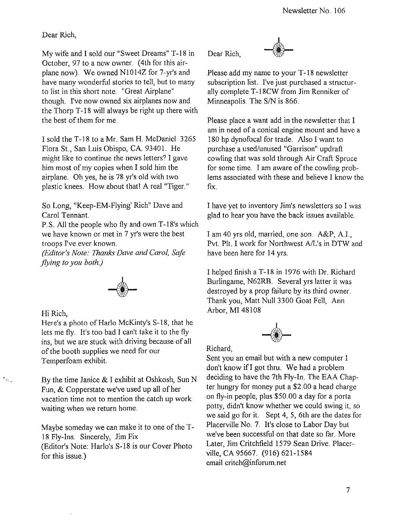Dear Rich,

My wife and I sold our "Sweet Dreams" T-18 in October, 97 to a new owner. (4th for this airplane now). We owned NIOl4Z for 7-yr's and have many wonderful stories to tell, but to many to list in this short note. "Great Airplane" though. I've now owned six airplanes now and the Thorp T-18 will always be right up there with the best of them for me.

I sold the T-18 to a Mr. Sam H. McDaniel 3265 Flora St., San Luis Obispo, CA. 93401. He might like to continue the news letters? I gave him most of my copies when I sold him the airplane. Oh yes, he is 78 yr's old with two plastic knees. How about that! A real "Tiger."

So Long, "Keep-EM-Flying' Rich" Dave and Carol Tennant.

P.S. All the people who fly and own T-18's which we have known or met in 7 yr's were the best troops I've ever known.

*(Editor's Note: Thanks Dave and Carol, Safe flying to you both.)* 

![](_page_6_Picture_7.jpeg)

Hi Rich,

 $\gamma_{\rm A}$  .

Here's a photo of Harlo McKinty's S-18, that he lets me fly. It's too bad I can't take it to the fly ins, but we are stuck with driving because of all of the booth supplies we need for our Temperfoam exhibit.

By the time Janice & I exhibit at Oshkosh, Sun N Fun, & Copperstate we've used up all of her vacation time not to mention the catch up work waiting when we return home.

Maybe someday we can make it to one of the T-18 Fly-Ins. Sincerely, Jim Fix (Editor's Note: Harlo's S-18 is our Cover Photo for this issue.)

Dear Rich,

![](_page_6_Picture_13.jpeg)

Please add my name to your T-18 newsletter subscription list. I've just purchased a structurally complete T-18CW from Jim Renniker of Minneapolis. The *SIN* is 866.

Please place a want add in the newsletter that I am in need of a conical engine mount and have a 180 hp dynofocal for trade. Also I want to purchase a used/unused "Garrison" updraft cowling that was sold through Air Craft Spruce for some time. I am aware of the cowling problems associated with these and believe I know the fix.

I have yet to inventory Jim's newsletters so I was glad to hear you have the back issues available.

I am 40 yrs old, married, one son. A&P, A.I., Pvt. PIt. I work for Northwest AIL's in DTW and have been here for 14 yrs.

I helped finish a T-18 in 1976 with Dr. Richard Burlingame, N62RB. Several yrs latter it was destroyed by a prop failure by its third owner. Thank you, Matt Null 3300 Goat Fell, Ann Arbor, MI 48108

![](_page_6_Picture_19.jpeg)

Richard,

Sent you an email but with a new computer I don't know ifI got thru. We had a problem deciding to have the 7th Fly-In. The EAA Chapter hungry for money put a \$2.00 a head charge on fly-in people, plus \$50.00 a day for a porta potty, didn't know whether we could swing it, so we said go for it. Sept 4, 5, 6th are the dates for Placerville NO.7. It's close to Labor Day but we've been successful on that date so far. More Later, Jim Critchfield 1579 Sean Drive. Placerville, CA 95667. (916) 621-1584 email critch@inforum.net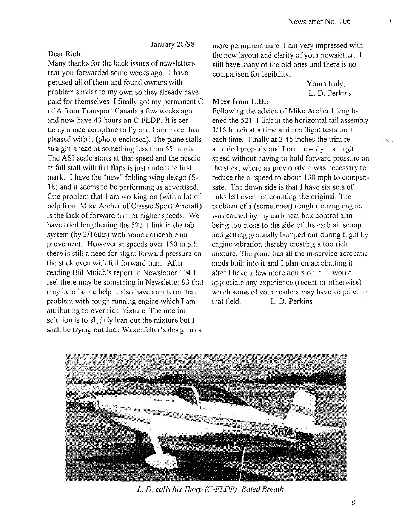January *20198* 

Dear Rich:

Many thanks for the back issues of newsletters that you forwarded some weeks ago. I have perused all of them and found owners with problem similar to my own so they already have paid for themselves. I finally got my permanent C of A from Transport Canada a few weeks ago and now have 43 hours on C-FLDP. It is certainly a nice aeroplane to fly and I am more than pleased with it (photo enclosed). The plane stalls straight ahead at something less than 55 m.p.h.. The ASI scale starts at that speed and the needle at full stall with full flaps is just under the first mark. I have the "new" folding wing design (S-18) and it seems to be performing as advertised. One problem that 1 am working on (with a lot of help from Mike Archer of Classic Sport Aircraft) is the lack of forward trim at higher speeds. We have tried lengthening the 521-1 link in the tab system (by 3/16ths) with some noticeable improvement. However at speeds over 150 m.p.h. there is still a need for slight forward pressure on the stick even with full forward trim. After reading Bill Mnich's report in Newsletter 104 I feel there may be something in Newsletter 93 that may be of same help. I also have an intermittent problem with rough running engine which 1 am attributing to over rich mixture. The interim solution is to slightly lean out the mixture but I shall be trying out Jack Waxenfelter's design as a

more permanent cure. I am very impressed with the new layout and clarity of your newsletter. I still have many of the old ones and there is no comparison for legibility.

> Yours truly, L. D. Perkins

#### **More from L.D.:**

Following the advice of Mike Archer I lengthened the 521-1 link in the horizontal tail assembly  $1/16$ th inch at a time and ran flight tests on it each time. Finally at 3.45 inches the trim responded properly and I can now fly it at high speed without having to hold forward pressure on the stick, where as previously it was necessary to reduce the airspeed to about 130 mph to compensate. The down side is that I have six sets of links left over not counting the original. The problem of a (sometimes) rough running engine was caused by my carb heat box control arm being too close to the side of the carb air scoop and getting gradually bumped out during flight by engine vibration thereby creating a too rich mixture. The plane has all the in-service acrobatic mods built into it and I plan on aerobatting it after I have a few more hours on it. I would appreciate any experience (recent or otherwise) which some of your readers may have acquired in that field. L. D. Perkins

![](_page_7_Picture_8.jpeg)

L. D. calls his Thorp (C-FLDP) Bated Breath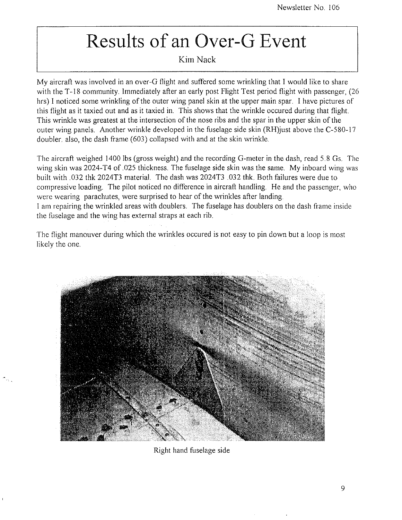# **Results of an Over-G Event**

#### Kim Nack

My aircraft was involved in an over-G flight and suffered some wrinkling that I would like to share with the T-18 community. Immediately after an early post Flight Test period flight with passenger, (26) hrs) I noticed some wrinkling of the outer wing panel skin at the upper main spar. I have pictures of this flight as it taxied out and as it taxied in. This shows that the wrinkle occured during that flight. This wrinkle was greatest at the intersection of the nose ribs and the spar in the upper skin of the outer wing panels. Another wrinkle developed in the fuselage side skin (RH)just above the C-580-17 doubler. also, the dash frame (603) collapsed with and at the skin wrinkle.

The aircraft weighed 1400 Ibs (gross weight) and the recording G-meter in the dash, read 5.8 Gs. The wing skin was 2024-T4 of .025 thickness. The fuselage side skin was the same. My inboard wing was built with .032 thk 2024T3 material. The dash was 2024T3 .032 thk. Both failures were due to compressive loading. The pilot noticed no difference in aircraft handling. He and the passenger, who were wearing parachutes, were surprised to hear of the wrinkles after landing. I am repairing the wrinkled areas with doublers. The fuselage has doublers on the dash frame inside the fuselage and the wing has external straps at each rib.

The flight manouver during which the wrinkles occured is not easy to pin down but a loop is most likely the one.

![](_page_8_Picture_6.jpeg)

Right hand fuselage side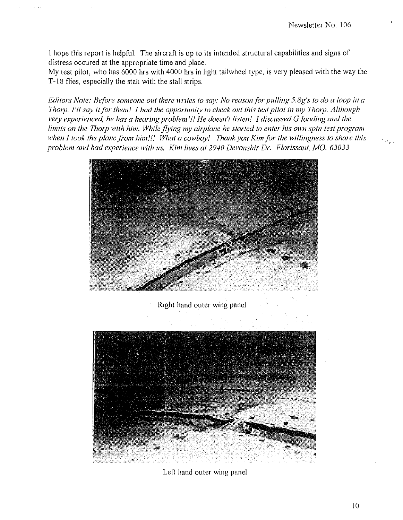..

I hope this report is helpful. The aircraft is up to its intended structural capabilities and signs of distress occured at the appropriate time and place.

My test pilot, who has 6000 hrs with 4000 hrs in light tailwheel type, is very pleased with the way the T-18 flies, especially the stall with the stall strips.

*Editors Note: Before someone out there writes to say: No reason for pulling 5.8g's to do a loop in a Thorp. I'll say it for them! I had the opportunity to check out this test pilot in my Thorp. Although very experienced, he has a hearing problem!!! He doesn't listen! I discussed G loading and the limits on the Thorp with him. While flying my airplane he started to enter his own spin test program when I took the plane from him!!! What a cowboy! 7hank you Kim for the willingness to share this*  problem and bad experience with us. Kim lives at 2940 Devonshir Dr. Florissant, MO. 63033

![](_page_9_Picture_4.jpeg)

Right hand outer wing panel

![](_page_9_Picture_6.jpeg)

Left hand outer wing panel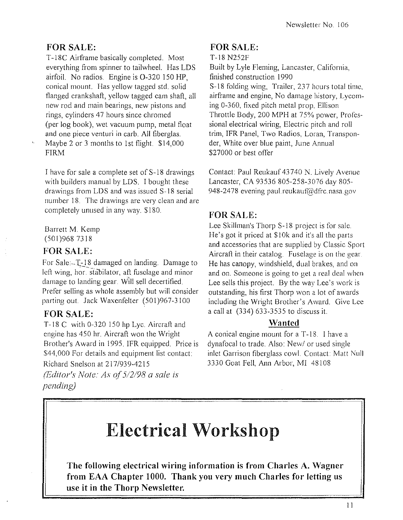# **FOR SALE:**

T-18C Airframe basically completed. Most everything from spinner to tailwheel. Has LDS airfoil. No radios. Engine is 0-320 150 **HP,**  conical mount. Has yellow tagged std. solid flanged crankshaft, yellow tagged cam shaft, all new rod and main bearings, new pistons and rings, cylinders 47 hours since chromed (per log book), wet vacuum pump, metal float and one piece venturi in carb. All fiberglas. Maybe 2 or 3 months to 1st flight. \$14,000 FIRM

I have for sale a complete set of S-18 drawings with builders manual by LDS. I bought these drawings from LDS and was issued S-18 serial number 18. The drawings are very clean and are completely unused in any way. \$180.

Barrett M. Kemp (501) 968 7318

### FOR SALE:

For Sale:-T-18 damaged on landing. Damage to left wing, hor, stabilator, aft fuselage and minor damage to landing gear. Will sell decertified. Prefer selling as whole assembly but will consider parting out. Jack Waxenfelter (501)967-3100

### **FOR SALE:**

T-18 C with 0-320 150 hp Lyc. Aircraft and engine has 450 hr. Aircraft won the Wright Brother's Award in 1995. IFR equipped. Price is \$44,000 For details and equipment list contact: Richard Snelson at 217/939-4215

(/~ditorfs *Note: As of* 5/2/98 *a sale is pending)* 

### FOR SALE:

```
T-18 N252F
```
Built by Lyle Fleming, Lancaster, California, finished construction 1990 S-18 folding wing, Trailer, 237 hours total time, airframe and engine, No damage history, Lycoming 0-360, fixed pitch metal prop. Ellison Throttle Body, 200 MPH at 75% power, Prolessional electrical wiring, Electric pitch and roll trim, IFR Panel, Two Radios, Loran, Transponder, White over blue paint, June Annual \$27000 or best offer

Contact: Paul Reukauf 43740 N. Lively Avenue Lancaster, CA 93536805-258-3076 day *80S-*948-2478 evening paul. reukauf@dfrc.nasa.gov

# **FOR SALE:**

Lee Skillman's Thorp S-18 project is for sale. He's got it priced at \$10k and it's all the parts and accessories that are supplied by Classic Sport Aircraft in their catalog. Fuselage is on the gear. He has canopy, windshield, dual brakes, and on and on. Someone is going to get a real deal when Lee sells this project. By the way Lee's work is outstanding, his first Thorp won a lot of awards including the Wright Brother's Award. Give Lee a call at (334) 633-3535 to discuss it.

### **Wantcd**

A conical engine mount for a T-18. I have a dynafocal to trade. Also: *Newl* or used single inlet Garrison fiberglass cowl. Contact: Matt Null 3330 Goat Fell, Ann Arbor, Ml 48108

# **Electrical Workshop**

The following electrical wiring information is from Charles A. Wagner **from EAA Chapter 1000. Thank you very much Charles for letting us usc it in the Thorp Newslettcr.**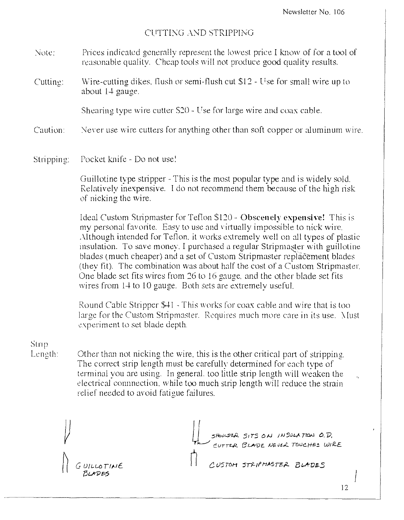#### CUTTING AND STRIPPING

- Note: Prices indicated generally represent the lowest price I know of for a tool of reasonable quality. Cheap tools will not produce good quality results.
- Cutting: Wire-cutting dikes. flush or semi-flush cut  $$12$  Use for small wire up to about  $14$  gauge.

Shearing type wire cutter  $S20 -$  Use for large wire and coax cable.

Caution: Never use wire cutters for anything other than soft copper or aluminum wire.

Stripping: Pocket knife - Do not use!

Guillotine type stripper - This is the most popular type and is widely sold. Relatively inexpensive. I do not recommend them because of the high risk of nicking the wire.

Ideal Custom Stripmaster for Teflon \$120 - Obscenely expensive! This is my personal favorite. Easy to use and virtually impossible to nick wire. Although intended for Teflon, it works extremely well on all types of plastic insulation. To save money. I purchased a regular Stripmaster with guillotine blades (much cheaper) and a set of Custom Stripmaster replacement blades (they fit). The combination was about half the cost of a Custom Stripmaster. One blade set fits wires from 26 to 16 gauge, and the other blade set fits wires from  $14$  to 10 gauge. Both sets are extremely useful.

Round Cable Stripper \$41 - This works for coax cable and wire that is too. large for the Custom Stripmaster. Requires much more care in its use. Must experiment to set blade depth.

Stnp Length:

r - 1

<sup>~</sup>*C* U/L-W TlfJc

Other than not nicking the wire, this is the other critical part of stripping. The correct strip length must be carefully determined for each type of terminal you are using. In general. too little strip length will weaken the electrical connnection. while too much strip length will reduce the strain relief needed to avoid fatigue failures.

> SHOWER SITS ON INSULATION O.D. CUTTER BLADE NEVER TOUCHES WIRE

CUSTOM STRIPMASTER BLADES

 $73LFDES$ 12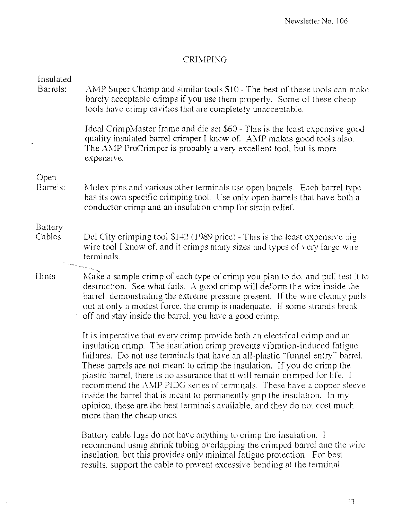#### CRIMPING

| Insulated<br>Barrels: | AMP Super Champ and similar tools \$10 - The best of these tools can make<br>barely acceptable crimps if you use them properly. Some of these cheap<br>tools have crimp cavities that are completely unacceptable.                                                                                                                                                                                                                                                                                                                                                                                                                                                      |
|-----------------------|-------------------------------------------------------------------------------------------------------------------------------------------------------------------------------------------------------------------------------------------------------------------------------------------------------------------------------------------------------------------------------------------------------------------------------------------------------------------------------------------------------------------------------------------------------------------------------------------------------------------------------------------------------------------------|
| $\mathbf{I}_1$        | Ideal CrimpMaster frame and die set \$60 - This is the least expensive good<br>quality insulated barrel crimper I know of. AMP makes good tools also.<br>The AMP ProCrimper is probably a very excellent tool, but is more<br>expensive.                                                                                                                                                                                                                                                                                                                                                                                                                                |
| Open<br>Barrels:      | Molex pins and various other terminals use open barrels. Each barrel type<br>has its own specific crimping tool. Use only open barrels that have both a<br>conductor crimp and an insulation crimp for strain relief.                                                                                                                                                                                                                                                                                                                                                                                                                                                   |
| Battery<br>Cables     | Del City crimping tool $$142$ (1989 price) - This is the least expensive big<br>wire tool I know of, and it crimps many sizes and types of very large wire<br>terminals.                                                                                                                                                                                                                                                                                                                                                                                                                                                                                                |
| <b>Hints</b>          | Make a sample crimp of each type of crimp you plan to do, and pull test it to<br>destruction. See what fails. A good crimp will deform the wire inside the<br>barrel, demonstrating the extreme pressure present. If the wire cleanly pulls<br>out at only a modest force, the crimp is inadequate. If some strands break<br>off and stay inside the barrel, you have a good crimp.                                                                                                                                                                                                                                                                                     |
|                       | It is imperative that every crimp provide both an electrical crimp and an<br>insulation crimp. The insulation crimp prevents vibration-induced fatigue<br>failures. Do not use terminals that have an all-plastic "funnel entry" barrel.<br>These barrels are not meant to crimp the insulation. If you do crimp the<br>plastic barrel, there is no assurance that it will remain crimped for life. I<br>recommend the AMP PIDG series of terminals. These have a copper sleeve<br>inside the barrel that is meant to permanently grip the insulation. In my<br>opinion, these are the best terminals available, and they do not cost much<br>more than the cheap ones. |
|                       | Battery cable lugs do not have anything to crimp the insulation. I                                                                                                                                                                                                                                                                                                                                                                                                                                                                                                                                                                                                      |

recommend using shrink tubing overlapping the crimped barrel and the wire insulation, but this provides only minimal fatigue protection, For best results, support the cable to prevent excessive bending at the terminal.

 $\ddot{\phantom{1}}$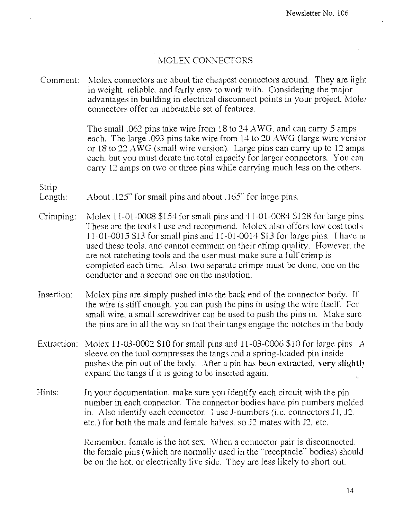#### MOLEX CONNECTORS

Comment: Molex connectors are about the cheapest connectors around. They are light in weight, reliable, and fairly easy to work with. Considering the major advantages in building in electrical disconnect points in your project. Moley connectors offer an unbeatable set of features.

> The small .062 pins take wire from 18 to  $24 \text{ AWG}$ , and can carry 5 amps each. The large .093 pins take wire from 14 to 20 AWG (large wire version or 18 to 22 A WG (small wire version). Large pins can carry up to 12 amps each. but you must derate the total capacity for larger connectors. You can carry 12 amps on two or three pins while carrying much less on the others.

Strip

- Length: About .125" for small pins and about .165" for large pins.
- Crimping: Molex 11-01-0008  $$154$  for small pins and 11-01-0084 S128 for large pins. These are the tools I use and recommend. Molex also offers low cost tools 11-01-0015 \$13 for small pins and  $11$ -01-0014 \$13 for large pins. I have no used these tools, and cannot comment on their crimp quality. However, the are not ratcheting tools and the user must make sure a full crimp is completed each time. Also, two separate crimps must be done, one on the conductor and a second one on the insulation.
- Insertion: Molex pins are simply pushed into the back end of the connector body. If the wire is stiff enough. you can push the pins in using the wire itself. For small wire. a small screwdriver can be used to push the pins in. Make sure the pins are in all the way so that their tangs engage the notches in the body
- Extraction: Molex 11-03-0002 \$10 for small pins and 11-03-0006 \$10 for large pins. *A*  sleeve on the tool compresses the tangs and a spring-loaded pin inside pushes the pin out of the body. After a pin has been extracted. **vcry slight!.'**  expand the tangs if it is going to be inserted again.
- Hints: In your documentation, make sure you identify each circuit with the pin number in each connector. The connector bodies have pin numbers molded in. Also identify each connector. I use J-numbers (i.e. connectors J1, J2. etc.) for both the male and female halves. so J2 mates with J2. etc.

Remember. female is the hot sex. When a connector pair is disconnected. the female pins (which are normally used in the "receptacle" bodies) should be on the hot. or electrically live side. They are less likely to short oul.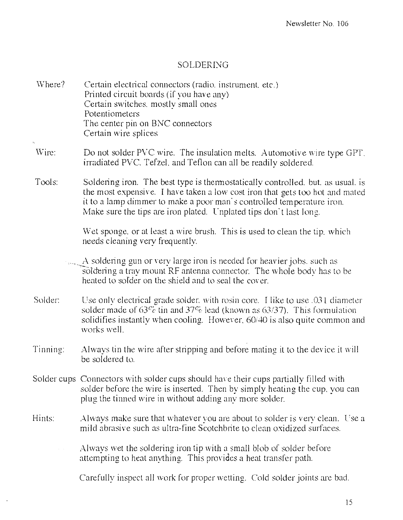#### SOLDERING

IVhere? Certain electrical connectors (radio. instrument. etc.) Printed circuit boards (if you have any) Certain switches. mostly small ones Potentiometers The center pin on BNC connectors Certain wire splices

¥.

- Wire: Do not solder PVC wire. The insulation melts. Automotive wire type GPT. irradiated PVC. Tefzel, and Teflon can all be readily soldered.
- Tools: Soldering iron. The best type is thermostatically controlled. but. as usual. is the most expensive. I have taken a low cost iron that gets too hot and mated it to a lamp dimmer to make a poor man's controlled temperature iron. Make sure the tips are iron plated. Unplated tips don't last long.

Wet sponge. or at least a wire brush. This is used to clean the tip. which needs cleaning very frequently.

 $\sim$  . A soldering gun or very large iron is needed for heavier jobs, such as soldering a tray mount RF antenna connector. The whole body has to be heated to solder on the shield and to seal the cover.

- Solder: Use only electrical grade solder, with rosin core. I like to use  $.031$  diameter solder made of  $63\%$  tin and  $37\%$  lead (known as 63/37). This formulation solidifies instantly when cooling. However, 60/40 is also quite common and works well.
- Tinning: Always tin the wire after stripping and before mating it to the device it will be soldered to,
- Solder cups Connectors with solder cups should have their cups partially filled with solder before the wire is inserted. Then by simply heating the cup. you can plug the tinned wire in without adding any more solder.
- Hints:  $\lambda$  Always make sure that whatever vou are about to solder is very clean. Use a mild abrasive such as ultra-fine Scotchbrite to clean oxidized surfaces.
	- Always wet the soldering iron tip with a small blob of solder before attempting to heat anything. This provides a heat transfer path.

Carefully inspect all work for proper wetting. Cold solder joints are bad.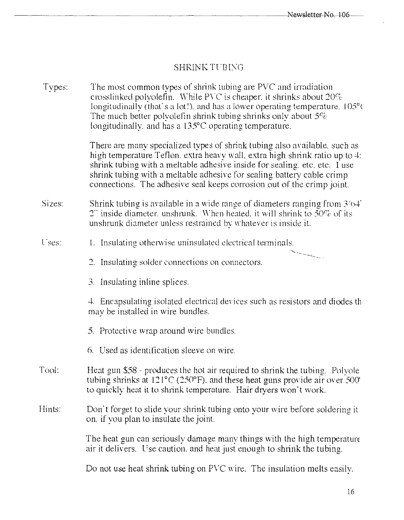# ${\tt SHRINK\,TUBING}$

| Types: | The most common types of shrink tubing are PVC and irradiation<br>crosslinked polyolefin. While PVC is cheaper, it shrinks about $20\%$<br>longitudinally (that's a lot!), and has a lower operating temperature, 105°C<br>The much better polyolefin shrink tubing shrinks only about $5\%$<br>longitudinally, and has a 135°C operating temperature.                                     |  |
|--------|--------------------------------------------------------------------------------------------------------------------------------------------------------------------------------------------------------------------------------------------------------------------------------------------------------------------------------------------------------------------------------------------|--|
|        | There are many specialized types of shrink tubing also available, such as<br>high temperature Teflon, extra heavy wall, extra high shrink ratio up to 4:<br>shrink tubing with a meltable adhesive inside for sealing, etc. etc. I use<br>shrink tubing with a meltable adhesive for sealing battery cable crimp<br>connections. The adhesive seal keeps corrosion out of the crimp joint. |  |
| Sizes: | Shrink tubing is available in a wide range of diameters ranging from $3/64$<br>2" inside diameter, unshrunk. When heated, it will shrink to $50\%$ of its<br>unshrunk diameter unless restrained by whatever is inside it.                                                                                                                                                                 |  |
| Uses:  | 1. Insulating otherwise uninsulated electrical terminals.                                                                                                                                                                                                                                                                                                                                  |  |
|        | 2. Insulating solder connections on connectors.                                                                                                                                                                                                                                                                                                                                            |  |
|        | 3. Insulating inline splices.                                                                                                                                                                                                                                                                                                                                                              |  |
|        | 4. Encapsulating isolated electrical devices such as resistors and diodes the<br>may be installed in wire bundles.                                                                                                                                                                                                                                                                         |  |
|        | 5. Protective wrap around wire bundles.                                                                                                                                                                                                                                                                                                                                                    |  |
|        | 6. Used as identification sleeve on wire.                                                                                                                                                                                                                                                                                                                                                  |  |
| Tool:  | Heat gun \$58 - produces the hot air required to shrink the tubing. Polvole<br>tubing shrinks at 121°C (250°F), and these heat guns provide air over 500°<br>to quickly heat it to shrink temperature. Hair dryers won't work.                                                                                                                                                             |  |
| Hints: | Don't forget to slide your shrink tubing onto your wire before soldering it<br>on, if you plan to insulate the joint.                                                                                                                                                                                                                                                                      |  |
|        | The heat gun can seriously damage many things with the high temperature<br>air it delivers. Use caution, and heat just enough to shrink the tubing.                                                                                                                                                                                                                                        |  |
|        |                                                                                                                                                                                                                                                                                                                                                                                            |  |

Do not use heat shrink tubing on PVC wire. The insulation melts easily.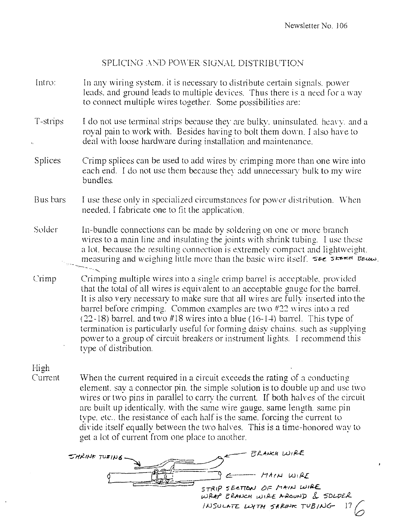#### SPLICING .AND POWER SIGNAL DISTRIBUTION

- Intro: In any wiring system, it is necessary to distribute certain signals, power leads, and ground leads to multiple devices. Thus there is a need for a way to connect multiple wires together. Some possibilities are:
- T-strips I do not use terminal strips because they are bulky, uninsulated, heavy, and a royal pain to work with. Besides having to bolt them down. I also have to deal with loose hardware during installation and maintenance.
- Splices Crimp splices can be used to add wires by crimping more than one wire into each end. I do not use them because they add unnecessary bulk to my wire bundles.
- Bus bars I use these only in specialized circumstances for power distribution. When needed. I fabricate one to fit the application.
- Solder In-bundle connections can be made by soldering on one or more branch wires to a main line and insulating the joints with shrink tubing. I use these a lot, because the resulting connection is extremely compact and lightweight. measuring and weighing little more than the basic wire itself. SEE SKERM BELOW.
- Crimp Crimping multiple wires into a single crimp barrel is acceptable, provided that the total of all wires is equivalent to an acceptable gauge for the barrel. It is also very necessary to make sure that all wires are fully inserted into the barrel before crimping. Common examples are two  $#22$  wires into a red (22-18) barrel, and two  $#18$  wires into a blue (16-14) barrel. This type of termination is particularly useful for forming daisy chains, such as supplying power to a group of circuit breakers or instrument lights. I recommend this type of distribution.

# High

Current When the current required in a circuit exceeds the rating of a conducting element, say a connector pin, the simple solution is to double up and use two wires or two pins in parallel to carry the current. If both halves of the circuit are built up identically. with the same wire gauge. same length. same pin type, etc., the resistance of each half is the same. forcing the current to divide itself equally between the two halves. This is a time-honored way to get a lot of current from one place to another.

-:::-tt!lI!-11c *TUJI* I}J (, ~ B' *,e.1,,,,,,-«* WI f2..C.  $\rightarrow$  $\epsilon$  -- *https://www.*inf  $5TRP$   $5E$ eTION  $\partial F$  MAIN WIRE WRAP ERANCH WIRE AROUND & SDLDER  $1/1050$  LATE LLYTH SARING TUB/NG  $17$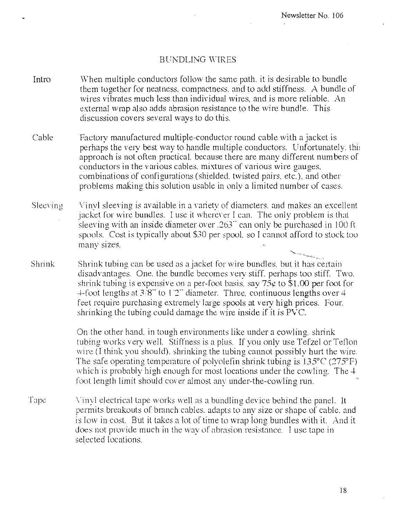#### BUt\DLING WIRES

- Intro When multiple conductors follow the same path. it is desirable to bundle them together for neatness, compactness, and to add stiffness. A bundle of wires vibrates much less than individual wires, and is more reliable. An external wrap also adds abrasion resistance to the wire bundle. This discussion covers several ways to do this.
- Cable Factory manufactured multiple-conductor round cable with a jacket is perhaps the very best way to handle multiple conductors. Unfortunately, this approach is not often practical. because there are many different numbers of conductors in the various cables. mixtures of various wire gauges. combinations of configurations (shielded. twisted pairs. etc.). and other problems making this solution usable in only a limited number of cases.
- Sleeving Vinyl sleeving is available in a variety of diameters, and makes an excellent jacket for wire bundles. I use it wherever I can. The only problem is that sleeving with an inside diameter over  $.263$  can only be purchased in 100 ft spools. Cost is typically about \$30 per spool, so I cannot afford to stock too many SIzes.
- Shrink ------ ' Shrink tubing can be used as a jacket for wire bundles, but it has certain disadvantages. One, the bundle becomes very stiff, perhaps too stiff. Two. shrink tubing is expensive on a per-foot basis, say  $75¢$  to \$1.00 per foot for  $+$ foot lengths at 3/8" to 1.2" diameter. Three, continuous lengths over  $+$ feet require purchasing extremely large spools at very high prices. Four. shrinking the tubing could damage the wire inside if it is Pvc.

On the other hand, in tough environments like under a cowling, shrink tubing works very well. Stiffness is a plus. If you only use Tefzel or Teflon wire (I think you should), shrinking the tubing cannot possibly hurt the wire. The safe operating temperature of polyolefin shrink tubing is  $135^{\circ}$ C (275°F) which is probably high enough for most locations under the cowling. The 4 foot length limit should cover almost any under-the-cowling run. which is probably high enough for most locations under the cowling. The  $4$ -

Tape Vinyl electrical tape works well as a bundling device behind the panel. It permits breakouts of branch cables. adapts to any size or shape of cable. and is low in cost. But it takes a lot of time to wrap long bundles with it. And it. does not provide much in the way of abrasion resistance. I use tape in selected locations.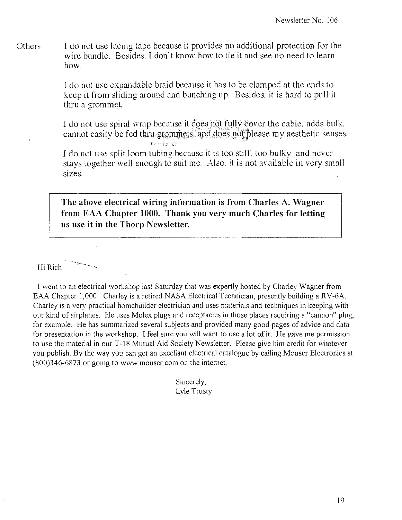**Others** I do not use lacing tape because it provides no additional protection for the wire bundle. Besides. I don't know how to tie it and see no need to learn how.

> I do not use expandable braid because it has to be clamped at the ends to keep it from sliding around and bunching up. Besides, it is hard to pull it thru a grommet.

I do not use spiral wrap because it does not fully tover the cable, adds bulk. cannot easily be fed thru grommets, and does not please my aesthetic senses.

I do not use split loom tubing because it is too stiff, too bulky, and never stays together well enough to suit me. Also, it is not available in very small sizes.

The above electrical wiring information is from Charles A. Wagner from EAA Chapter 1000. Thank you very much Charles for letting **us use it in the Thorp Newsletter.** 

 $\overline{\phantom{a}}$ Hi Rich  $\overline{\phantom{a}}$ 

 $\mathbf{r}$  .

I went to an electrical workshop last Saturday that was expertly hosted by Charley Wagner from EAA Chapter 1,000. Charley is a retired NASA Electrical Technician, presently building a RV-6A. Charley is a very practical homebuilder electrician and uses materials and techniques in keeping with our kind of airplanes. He uses Molex plugs and receptacles in those places requiring a "cannon" plug, for example. He has summarized several subjects and provided many good pages of advice and data for presentation in the workshop. I feel sure you will want to use a lot of it. He gave me permission to use the material in our T-18 Mutual Aid Society Newsletter. Please give him credit for whatever you publish. By the way you can get an excellant electrical catalogue by calling Mouser Electronics at (800)346-6873 or going to www.mouser.com on the internet.

> Sincerely, Lyle Trusty